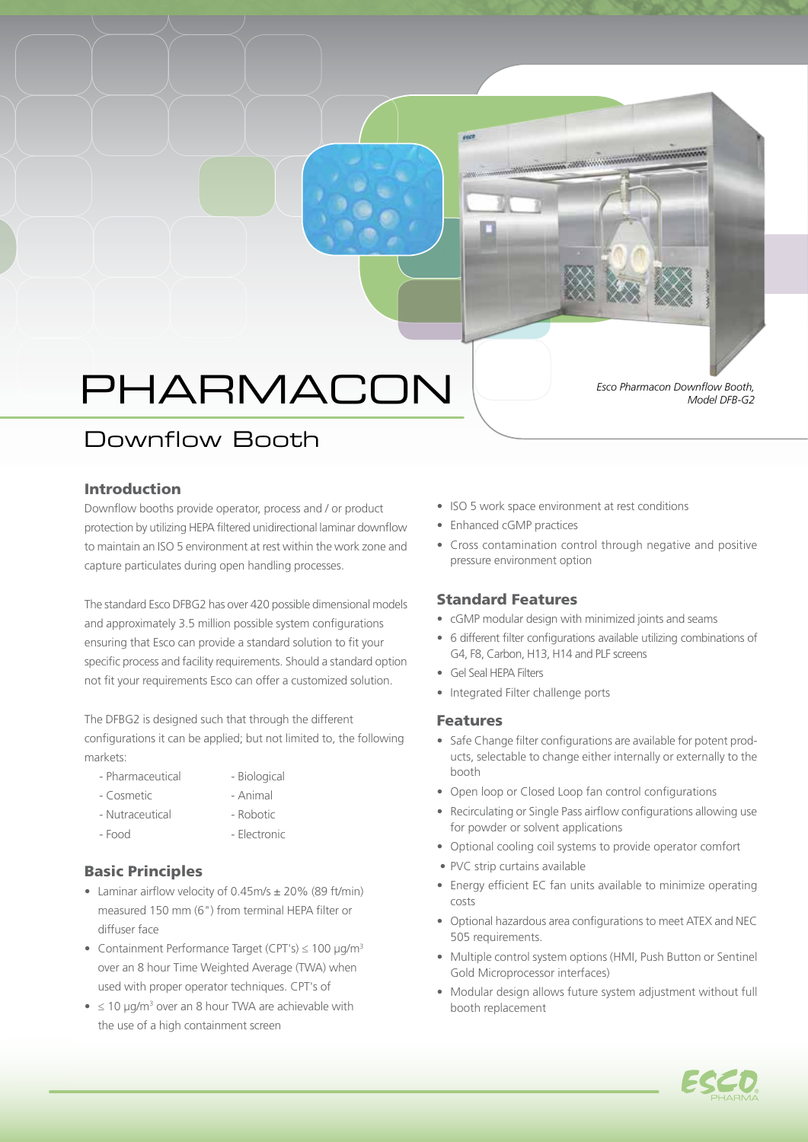# PHARMACON

*Esco Pharmacon Downflow Booth, Model DFB-G2*

# Downflow Booth

### Introduction

Downflow booths provide operator, process and / or product protection by utilizing HEPA filtered unidirectional laminar downflow to maintain an ISO 5 environment at rest within the work zone and capture particulates during open handling processes.

The standard Esco DFBG2 has over 420 possible dimensional models and approximately 3.5 million possible system configurations ensuring that Esco can provide a standard solution to fit your specific process and facility requirements. Should a standard option not fit your requirements Esco can offer a customized solution.

The DFBG2 is designed such that through the different configurations it can be applied; but not limited to, the following markets:

- Pharmaceutical Biological
	-
- Cosmetic  **Animal**
- Nutraceutical Robotic
- 
- Food Flectronic

## Basic Principles

- Laminar airflow velocity of 0.45m/s ± 20% (89 ft/min) measured 150 mm (6") from terminal HEPA filter or diffuser face
- Containment Performance Target (CPT's)  $\leq 100 \text{ }\mu\text{g/m}^3$ over an 8 hour Time Weighted Average (TWA) when used with proper operator techniques. CPT's of
- $\bullet$   $\leq$  10 µg/m<sup>3</sup> over an 8 hour TWA are achievable with the use of a high containment screen
- ISO 5 work space environment at rest conditions
- Enhanced cGMP practices
- Cross contamination control through negative and positive pressure environment option

a ann an amach an chuid a

### Standard Features

- cGMP modular design with minimized joints and seams
- 6 different filter configurations available utilizing combinations of G4, F8, Carbon, H13, H14 and PLF screens
- Gel Seal HEPA Filters
- Integrated Filter challenge ports

### Features

- Safe Change filter configurations are available for potent products, selectable to change either internally or externally to the booth
- Open loop or Closed Loop fan control configurations
- Recirculating or Single Pass airflow configurations allowing use for powder or solvent applications
- Optional cooling coil systems to provide operator comfort
- PVC strip curtains available
- Energy efficient EC fan units available to minimize operating costs
- Optional hazardous area configurations to meet ATEX and NEC 505 requirements.
- Multiple control system options (HMI, Push Button or Sentinel Gold Microprocessor interfaces)
- Modular design allows future system adjustment without full booth replacement

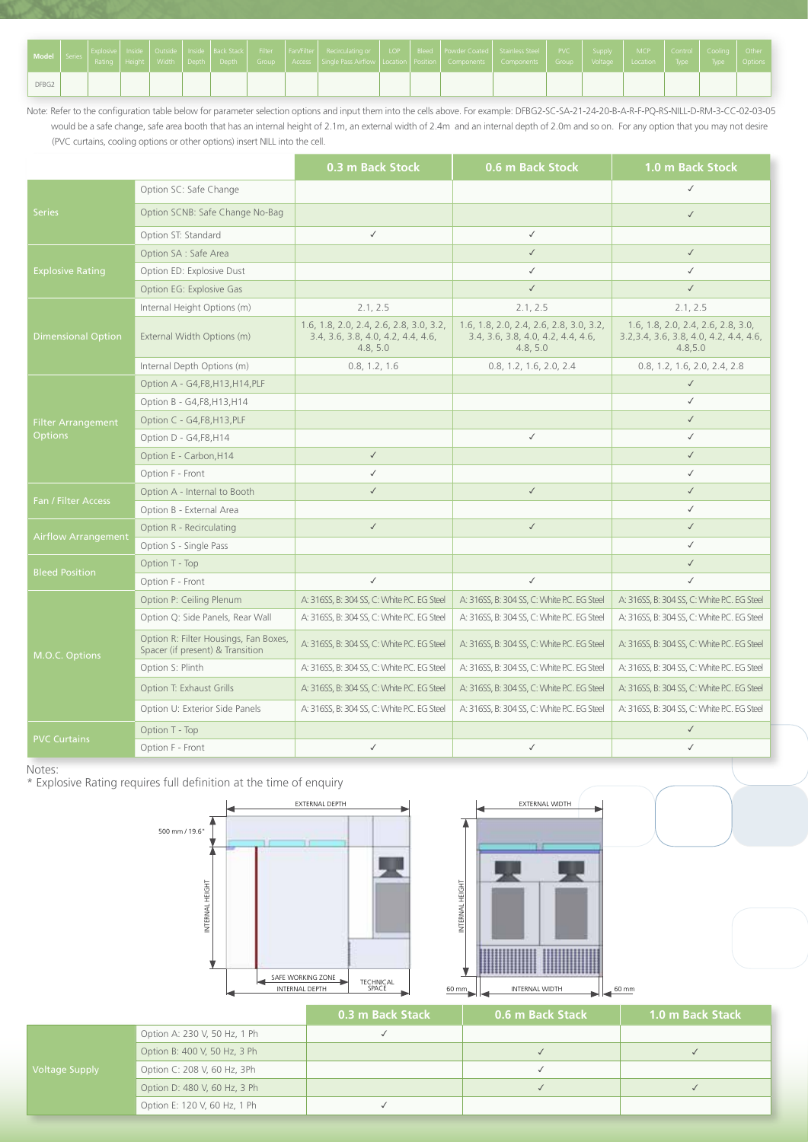| Model   Series |  |  |  |  | Explosive   Inside   Outside   Inside   Back Stack   Filter   Fan/Filter   Recirculating or   LOP   Bleed   Powder Coated   Stainless Steel   PVC   Supply   MCP   Control   Cooling   Other<br>Rating   Height   Width   Depth   Depth   Group   Access   Single Pass Airflow   Location   Position   Components   Components   Group   Voltage   Location   Type   Type   Options |  |  |  |  |  |
|----------------|--|--|--|--|-------------------------------------------------------------------------------------------------------------------------------------------------------------------------------------------------------------------------------------------------------------------------------------------------------------------------------------------------------------------------------------|--|--|--|--|--|
| DFBG2          |  |  |  |  |                                                                                                                                                                                                                                                                                                                                                                                     |  |  |  |  |  |

Note: Refer to the configuration table below for parameter selection options and input them into the cells above. For example: DFBG2-SC-SA-21-24-20-B-A-R-F-PQ-RS-NILL-D-RM-3-CC-02-03-05 would be a safe change, safe area booth that has an internal height of 2.1m, an external width of 2.4m and an internal depth of 2.0m and so on. For any option that you may not desire (PVC curtains, cooling options or other options) insert NILL into the cell.

|                            |                                                                           | 0.3 m Back Stock                                                                          | 0.6 m Back Stock                                                                          | 1.0 m Back Stock                                                                         |  |
|----------------------------|---------------------------------------------------------------------------|-------------------------------------------------------------------------------------------|-------------------------------------------------------------------------------------------|------------------------------------------------------------------------------------------|--|
|                            | Option SC: Safe Change                                                    |                                                                                           |                                                                                           | $\checkmark$                                                                             |  |
| <b>Series</b>              | Option SCNB: Safe Change No-Bag                                           |                                                                                           |                                                                                           | $\checkmark$                                                                             |  |
|                            | Option ST: Standard                                                       | $\checkmark$                                                                              | $\checkmark$                                                                              |                                                                                          |  |
|                            | Option SA : Safe Area                                                     |                                                                                           | $\checkmark$                                                                              | $\checkmark$                                                                             |  |
| <b>Explosive Rating</b>    | Option ED: Explosive Dust                                                 |                                                                                           | $\checkmark$                                                                              | $\checkmark$                                                                             |  |
|                            | Option EG: Explosive Gas                                                  |                                                                                           | $\checkmark$                                                                              | $\checkmark$                                                                             |  |
|                            | Internal Height Options (m)                                               | 2.1.2.5                                                                                   | 2.1, 2.5                                                                                  | 2.1.2.5                                                                                  |  |
| <b>Dimensional Option</b>  | External Width Options (m)                                                | 1.6, 1.8, 2.0, 2.4, 2.6, 2.8, 3.0, 3.2,<br>3.4, 3.6, 3.8, 4.0, 4.2, 4.4, 4.6,<br>4.8, 5.0 | 1.6, 1.8, 2.0, 2.4, 2.6, 2.8, 3.0, 3.2,<br>3.4, 3.6, 3.8, 4.0, 4.2, 4.4, 4.6,<br>4.8, 5.0 | 1.6, 1.8, 2.0, 2.4, 2.6, 2.8, 3.0,<br>3.2, 3.4, 3.6, 3.8, 4.0, 4.2, 4.4, 4.6,<br>4.8,5.0 |  |
|                            | Internal Depth Options (m)                                                | 0.8, 1.2, 1.6                                                                             | 0.8, 1.2, 1.6, 2.0, 2.4                                                                   | 0.8, 1.2, 1.6, 2.0, 2.4, 2.8                                                             |  |
|                            | Option A - G4, F8, H13, H14, PLF                                          |                                                                                           |                                                                                           | $\checkmark$                                                                             |  |
|                            | Option B - G4, F8, H13, H14                                               |                                                                                           |                                                                                           | $\checkmark$                                                                             |  |
| <b>Filter Arrangement</b>  | Option C - G4, F8, H13, PLF                                               |                                                                                           |                                                                                           | $\checkmark$                                                                             |  |
| <b>Options</b>             | Option D - G4, F8, H14                                                    |                                                                                           | $\checkmark$                                                                              | $\checkmark$                                                                             |  |
|                            | Option E - Carbon, H14                                                    | $\checkmark$                                                                              |                                                                                           | $\checkmark$                                                                             |  |
|                            | Option F - Front                                                          | $\checkmark$                                                                              |                                                                                           | $\checkmark$                                                                             |  |
| Fan / Filter Access        | Option A - Internal to Booth                                              | $\checkmark$                                                                              | $\checkmark$                                                                              | $\checkmark$                                                                             |  |
|                            | Option B - External Area                                                  |                                                                                           |                                                                                           | $\checkmark$                                                                             |  |
| <b>Airflow Arrangement</b> | Option R - Recirculating                                                  | $\checkmark$                                                                              | $\checkmark$                                                                              | $\checkmark$                                                                             |  |
|                            | Option S - Single Pass                                                    |                                                                                           |                                                                                           | $\checkmark$                                                                             |  |
| <b>Bleed Position</b>      | Option T - Top                                                            |                                                                                           |                                                                                           | $\checkmark$                                                                             |  |
|                            | Option F - Front                                                          | $\checkmark$                                                                              | $\checkmark$                                                                              | $\checkmark$                                                                             |  |
|                            | Option P: Ceiling Plenum                                                  | A: 316SS, B: 304 SS, C: White P.C. EG Steel                                               | A: 316SS, B: 304 SS, C: White P.C. EG Steel                                               | A: 316SS, B: 304 SS, C: White P.C. EG Steel                                              |  |
|                            | Option Q: Side Panels, Rear Wall                                          | A: 316SS, B: 304 SS, C: White P.C. EG Steel                                               | A: 316SS, B: 304 SS, C: White P.C. EG Steel                                               | A: 316SS, B: 304 SS, C: White P.C. EG Steel                                              |  |
| M.O.C. Options             | Option R: Filter Housings, Fan Boxes,<br>Spacer (if present) & Transition | A: 316SS, B: 304 SS, C: White P.C. EG Steel                                               | A: 316SS, B: 304 SS, C: White P.C. EG Steel                                               | A: 316SS, B: 304 SS, C: White P.C. EG Steel                                              |  |
|                            | Option S: Plinth                                                          | A: 316SS, B: 304 SS, C: White P.C. EG Steel                                               | A: 316SS, B: 304 SS, C: White P.C. EG Steel                                               | A: 316SS, B: 304 SS, C: White P.C. EG Steel                                              |  |
|                            | Option T: Exhaust Grills                                                  | A: 316SS, B: 304 SS, C: White P.C. EG Steel                                               | A: 316SS, B: 304 SS, C: White P.C. EG Steel                                               | A: 316SS, B: 304 SS, C: White P.C. EG Steel                                              |  |
|                            | Option U: Exterior Side Panels                                            | A: 316SS, B: 304 SS, C: White P.C. EG Steel                                               | A: 316SS, B: 304 SS, C: White P.C. EG Steel                                               | A: 316SS, B: 304 SS, C: White P.C. EG Steel                                              |  |
|                            | Option T - Top                                                            |                                                                                           |                                                                                           | $\checkmark$                                                                             |  |
| <b>PVC Curtains</b>        | Option F - Front                                                          | $\checkmark$                                                                              | $\checkmark$                                                                              | $\checkmark$                                                                             |  |

Notes:

\* Explosive Rating requires full definition at the time of enquiry





|                       |                              | 0.3 m Back Stack | 0.6 m Back Stack | l 1.0 m Back Stack |
|-----------------------|------------------------------|------------------|------------------|--------------------|
|                       | Option A: 230 V, 50 Hz, 1 Ph |                  |                  |                    |
|                       | Option B: 400 V, 50 Hz, 3 Ph |                  |                  |                    |
| <b>Voltage Supply</b> | Option C: 208 V, 60 Hz, 3Ph  |                  |                  |                    |
|                       | Option D: 480 V, 60 Hz, 3 Ph |                  |                  |                    |
|                       | Option E: 120 V, 60 Hz, 1 Ph |                  |                  |                    |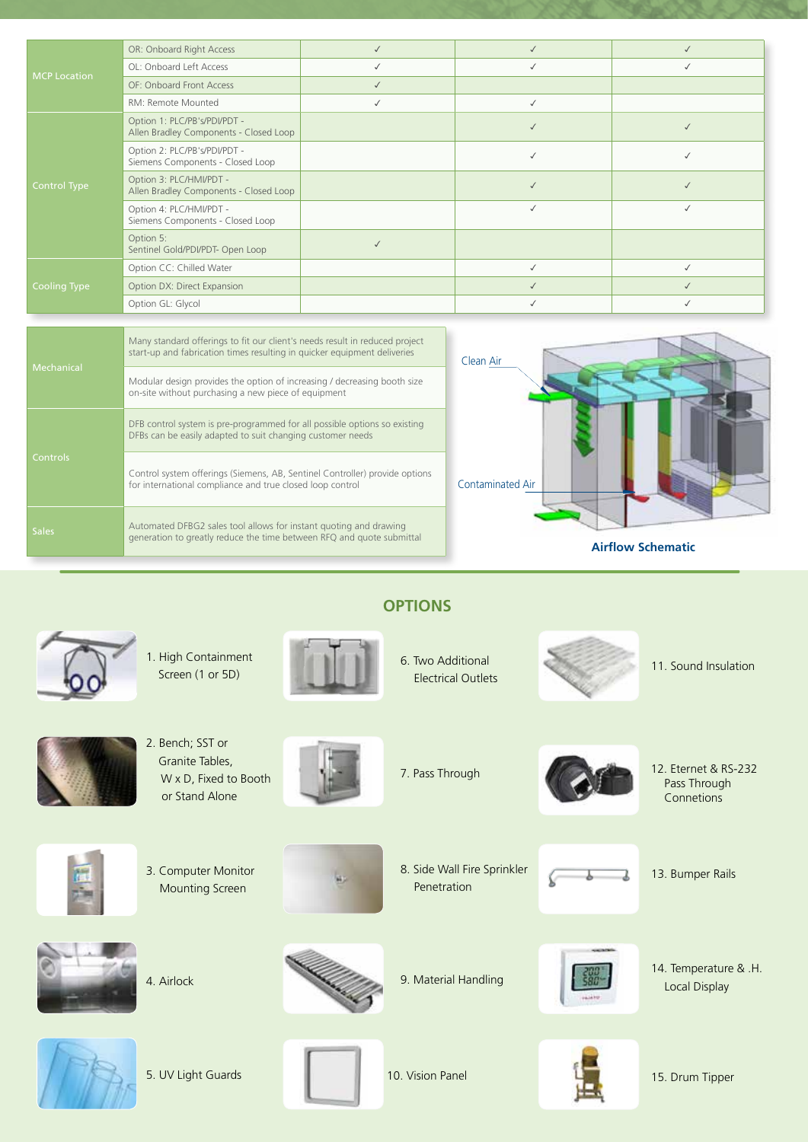|                     | OR: Onboard Right Access                                               |              |  |
|---------------------|------------------------------------------------------------------------|--------------|--|
| <b>MCP Location</b> | OL: Onboard Left Access                                                | $\checkmark$ |  |
|                     | OF: Onboard Front Access                                               |              |  |
|                     | RM: Remote Mounted                                                     | $\checkmark$ |  |
|                     | Option 1: PLC/PB's/PDI/PDT -<br>Allen Bradley Components - Closed Loop |              |  |
|                     | Option 2: PLC/PB's/PDI/PDT -<br>Siemens Components - Closed Loop       |              |  |
| <b>Control Type</b> | Option 3: PLC/HMI/PDT -<br>Allen Bradley Components - Closed Loop      |              |  |
|                     | Option 4: PLC/HMI/PDT -<br>Siemens Components - Closed Loop            |              |  |
|                     | Option 5:<br>Sentinel Gold/PDI/PDT- Open Loop                          |              |  |
|                     | Option CC: Chilled Water                                               |              |  |
| <b>Cooling Type</b> | Option DX: Direct Expansion                                            |              |  |
|                     | Option GL: Glycol                                                      |              |  |

|                 | Many standard offerings to fit our client's needs result in reduced project<br>start-up and fabrication times resulting in quicker equipment deliveries | Clean Air                |
|-----------------|---------------------------------------------------------------------------------------------------------------------------------------------------------|--------------------------|
| Mechanical      | Modular design provides the option of increasing / decreasing booth size<br>on-site without purchasing a new piece of equipment                         |                          |
|                 | DFB control system is pre-programmed for all possible options so existing<br>DFBs can be easily adapted to suit changing customer needs                 |                          |
| <b>Controls</b> | Control system offerings (Siemens, AB, Sentinel Controller) provide options<br>for international compliance and true closed loop control                | Contaminated Air         |
| <b>Sales</b>    | Automated DFBG2 sales tool allows for instant quoting and drawing<br>generation to greatly reduce the time between RFQ and quote submittal              | <b>Airflow Schematic</b> |



1. High Containment Screen (1 or 5D)





6. Two Additional Electrical Outlets



11. Sound Insulation



 W x D, Fixed to Booth or Stand Alone

3. Computer Monitor Mounting Screen





7. Pass Through 12. Eternet & RS-232 Pass Through **Connetions** 

13. Bumper Rails



4. Airlock



8. Side Wall Fire Sprinkler Penetration



9. Material Handling 14. Temperature & .H. Local Display



5. UV Light Guards



**OPTIONS**